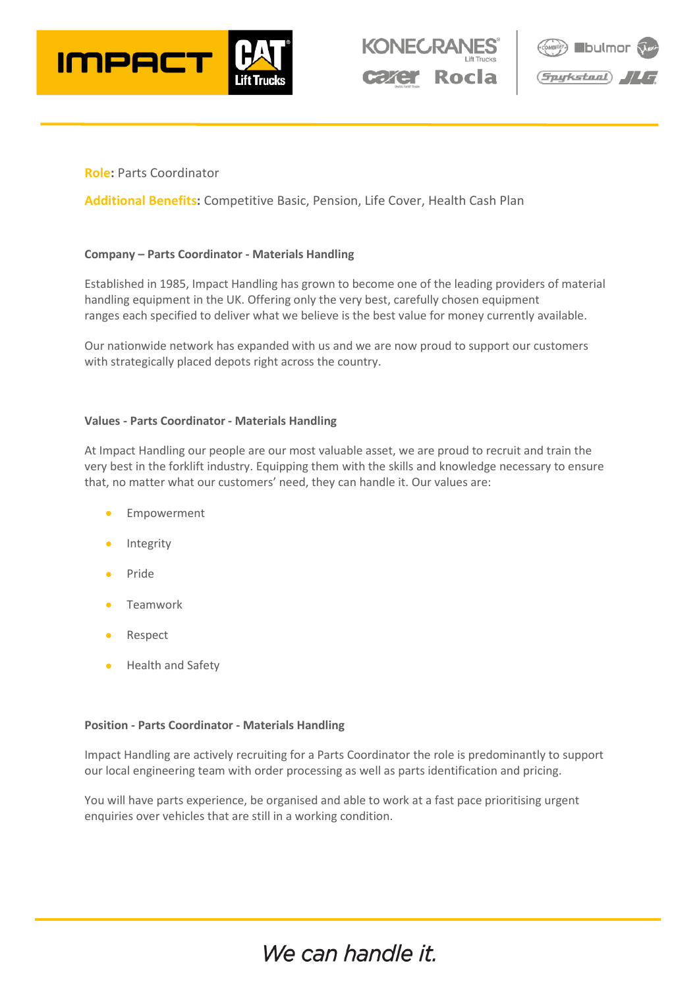





### **Role:** Parts Coordinator

**Additional Benefits:** Competitive Basic, Pension, Life Cover, Health Cash Plan

#### **Company – Parts Coordinator - Materials Handling**

Established in 1985, Impact Handling has grown to become one of the leading providers of material handling equipment in the UK. Offering only the very best, carefully chosen equipment ranges each specified to deliver what we believe is the best value for money currently available.

Our nationwide network has expanded with us and we are now proud to support our customers with strategically placed depots right across the country.

#### **Values - Parts Coordinator - Materials Handling**

At Impact Handling our people are our most valuable asset, we are proud to recruit and train the very best in the forklift industry. Equipping them with the skills and knowledge necessary to ensure that, no matter what our customers' need, they can handle it. Our values are:

- **Empowerment**
- **Integrity**
- Pride
- **Teamwork**
- **Respect**
- Health and Safety

#### **Position - Parts Coordinator - Materials Handling**

Impact Handling are actively recruiting for a Parts Coordinator the role is predominantly to support our local engineering team with order processing as well as parts identification and pricing.

You will have parts experience, be organised and able to work at a fast pace prioritising urgent enquiries over vehicles that are still in a working condition.

# We can handle it.